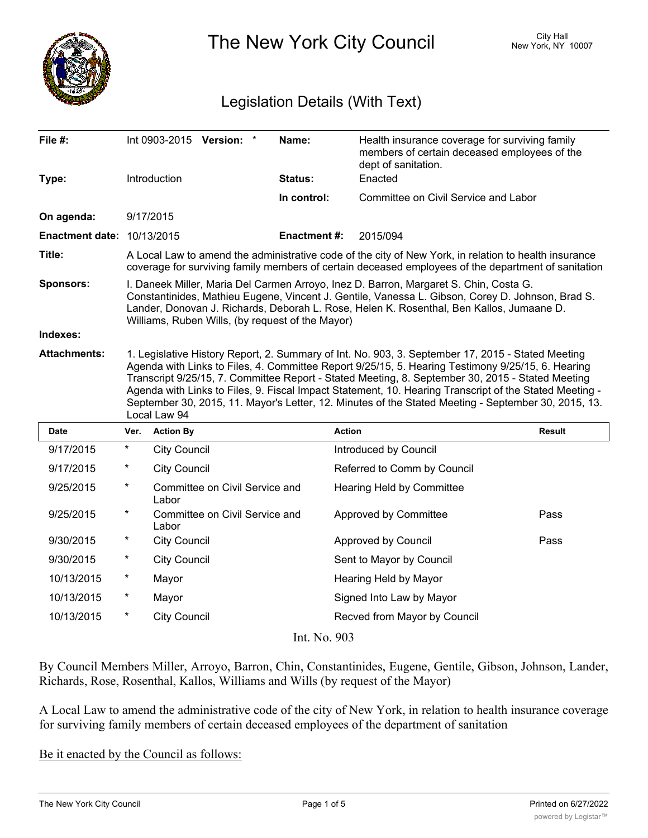

The New York City Council New York, NY 10007

## Legislation Details (With Text)

| File #:                           |                                                                                                                                                                                                                                                                                                                                                                                                                                                                                                                                             |                     | Int 0903-2015 Version: *       | Name:              | Health insurance coverage for surviving family<br>members of certain deceased employees of the<br>dept of sanitation. |               |
|-----------------------------------|---------------------------------------------------------------------------------------------------------------------------------------------------------------------------------------------------------------------------------------------------------------------------------------------------------------------------------------------------------------------------------------------------------------------------------------------------------------------------------------------------------------------------------------------|---------------------|--------------------------------|--------------------|-----------------------------------------------------------------------------------------------------------------------|---------------|
| Type:                             |                                                                                                                                                                                                                                                                                                                                                                                                                                                                                                                                             | Introduction        |                                | <b>Status:</b>     | Enacted                                                                                                               |               |
|                                   |                                                                                                                                                                                                                                                                                                                                                                                                                                                                                                                                             |                     |                                | In control:        | Committee on Civil Service and Labor                                                                                  |               |
| On agenda:                        |                                                                                                                                                                                                                                                                                                                                                                                                                                                                                                                                             | 9/17/2015           |                                |                    |                                                                                                                       |               |
| <b>Enactment date: 10/13/2015</b> |                                                                                                                                                                                                                                                                                                                                                                                                                                                                                                                                             |                     |                                | <b>Enactment#:</b> | 2015/094                                                                                                              |               |
| Title:                            | A Local Law to amend the administrative code of the city of New York, in relation to health insurance<br>coverage for surviving family members of certain deceased employees of the department of sanitation                                                                                                                                                                                                                                                                                                                                |                     |                                |                    |                                                                                                                       |               |
| <b>Sponsors:</b>                  | I. Daneek Miller, Maria Del Carmen Arroyo, Inez D. Barron, Margaret S. Chin, Costa G.<br>Constantinides, Mathieu Eugene, Vincent J. Gentile, Vanessa L. Gibson, Corey D. Johnson, Brad S.<br>Lander, Donovan J. Richards, Deborah L. Rose, Helen K. Rosenthal, Ben Kallos, Jumaane D.<br>Williams, Ruben Wills, (by request of the Mayor)                                                                                                                                                                                                   |                     |                                |                    |                                                                                                                       |               |
| Indexes:                          |                                                                                                                                                                                                                                                                                                                                                                                                                                                                                                                                             |                     |                                |                    |                                                                                                                       |               |
| <b>Attachments:</b>               | 1. Legislative History Report, 2. Summary of Int. No. 903, 3. September 17, 2015 - Stated Meeting<br>Agenda with Links to Files, 4. Committee Report 9/25/15, 5. Hearing Testimony 9/25/15, 6. Hearing<br>Transcript 9/25/15, 7. Committee Report - Stated Meeting, 8. September 30, 2015 - Stated Meeting<br>Agenda with Links to Files, 9. Fiscal Impact Statement, 10. Hearing Transcript of the Stated Meeting -<br>September 30, 2015, 11. Mayor's Letter, 12. Minutes of the Stated Meeting - September 30, 2015, 13.<br>Local Law 94 |                     |                                |                    |                                                                                                                       |               |
| <b>Date</b>                       | Ver.                                                                                                                                                                                                                                                                                                                                                                                                                                                                                                                                        | <b>Action By</b>    |                                |                    | <b>Action</b>                                                                                                         | <b>Result</b> |
| 9/17/2015                         | $\ast$                                                                                                                                                                                                                                                                                                                                                                                                                                                                                                                                      | <b>City Council</b> |                                |                    | Introduced by Council                                                                                                 |               |
| 9/17/2015                         | $\ast$                                                                                                                                                                                                                                                                                                                                                                                                                                                                                                                                      | <b>City Council</b> |                                |                    | Referred to Comm by Council                                                                                           |               |
| 9/25/2015                         | $^\star$                                                                                                                                                                                                                                                                                                                                                                                                                                                                                                                                    | Labor               | Committee on Civil Service and |                    | Hearing Held by Committee                                                                                             |               |
| 9/25/2015                         | $^\star$                                                                                                                                                                                                                                                                                                                                                                                                                                                                                                                                    | Labor               | Committee on Civil Service and |                    | Approved by Committee                                                                                                 | Pass          |
| 9/30/2015                         | $^\star$                                                                                                                                                                                                                                                                                                                                                                                                                                                                                                                                    | <b>City Council</b> |                                |                    | Approved by Council                                                                                                   | Pass          |
| 9/30/2015                         | $^\star$                                                                                                                                                                                                                                                                                                                                                                                                                                                                                                                                    | <b>City Council</b> |                                |                    | Sent to Mayor by Council                                                                                              |               |
| 10/13/2015                        | $\ast$                                                                                                                                                                                                                                                                                                                                                                                                                                                                                                                                      | Mayor               |                                |                    | Hearing Held by Mayor                                                                                                 |               |
| 10/13/2015                        | *                                                                                                                                                                                                                                                                                                                                                                                                                                                                                                                                           | Mayor               |                                |                    | Signed Into Law by Mayor                                                                                              |               |
| 10/13/2015                        | $\star$                                                                                                                                                                                                                                                                                                                                                                                                                                                                                                                                     | <b>City Council</b> |                                |                    | Recved from Mayor by Council                                                                                          |               |
| Int. No. 903                      |                                                                                                                                                                                                                                                                                                                                                                                                                                                                                                                                             |                     |                                |                    |                                                                                                                       |               |

By Council Members Miller, Arroyo, Barron, Chin, Constantinides, Eugene, Gentile, Gibson, Johnson, Lander, Richards, Rose, Rosenthal, Kallos, Williams and Wills (by request of the Mayor)

A Local Law to amend the administrative code of the city of New York, in relation to health insurance coverage for surviving family members of certain deceased employees of the department of sanitation

Be it enacted by the Council as follows: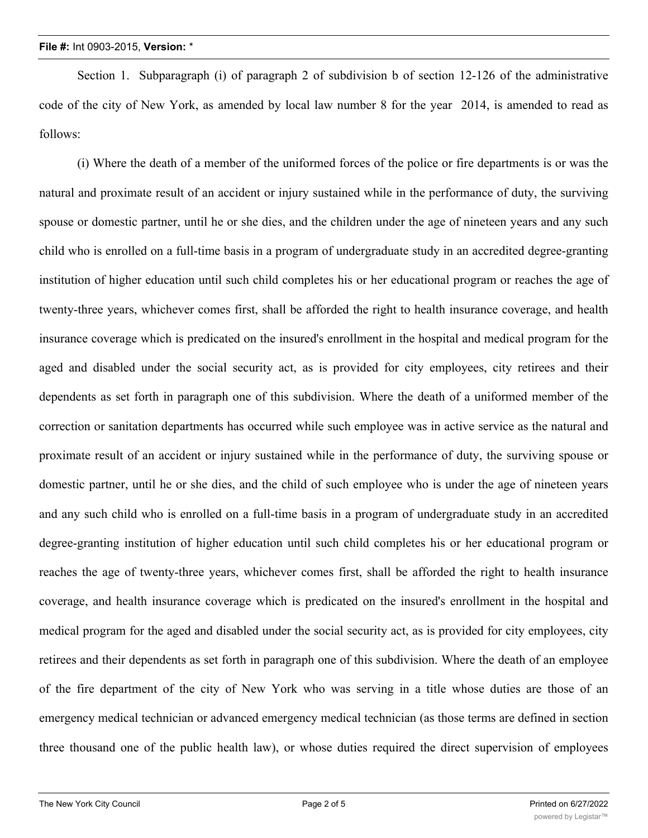Section 1. Subparagraph (i) of paragraph 2 of subdivision b of section 12-126 of the administrative code of the city of New York, as amended by local law number 8 for the year 2014, is amended to read as follows:

(i) Where the death of a member of the uniformed forces of the police or fire departments is or was the natural and proximate result of an accident or injury sustained while in the performance of duty, the surviving spouse or domestic partner, until he or she dies, and the children under the age of nineteen years and any such child who is enrolled on a full-time basis in a program of undergraduate study in an accredited degree-granting institution of higher education until such child completes his or her educational program or reaches the age of twenty-three years, whichever comes first, shall be afforded the right to health insurance coverage, and health insurance coverage which is predicated on the insured's enrollment in the hospital and medical program for the aged and disabled under the social security act, as is provided for city employees, city retirees and their dependents as set forth in paragraph one of this subdivision. Where the death of a uniformed member of the correction or sanitation departments has occurred while such employee was in active service as the natural and proximate result of an accident or injury sustained while in the performance of duty, the surviving spouse or domestic partner, until he or she dies, and the child of such employee who is under the age of nineteen years and any such child who is enrolled on a full-time basis in a program of undergraduate study in an accredited degree-granting institution of higher education until such child completes his or her educational program or reaches the age of twenty-three years, whichever comes first, shall be afforded the right to health insurance coverage, and health insurance coverage which is predicated on the insured's enrollment in the hospital and medical program for the aged and disabled under the social security act, as is provided for city employees, city retirees and their dependents as set forth in paragraph one of this subdivision. Where the death of an employee of the fire department of the city of New York who was serving in a title whose duties are those of an emergency medical technician or advanced emergency medical technician (as those terms are defined in section three thousand one of the public health law), or whose duties required the direct supervision of employees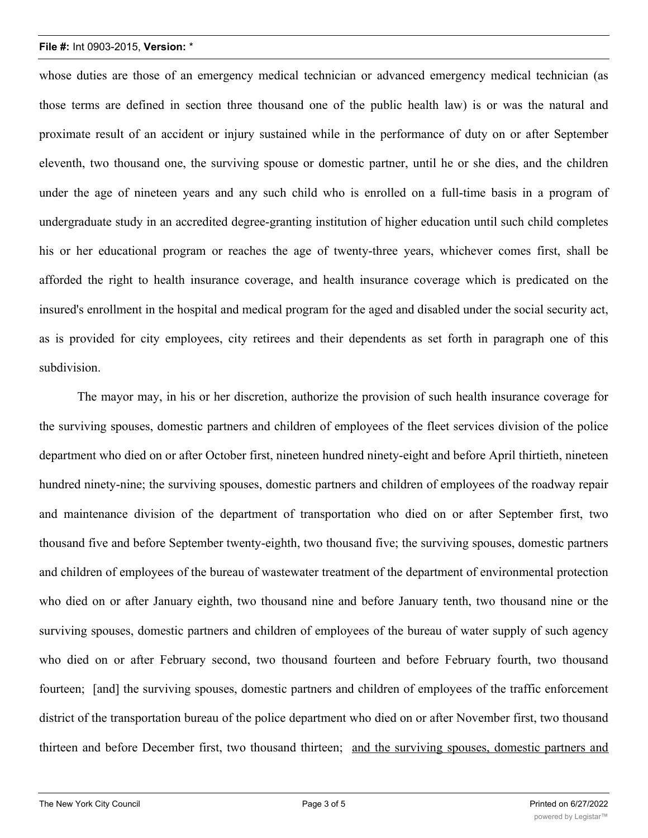## **File #:** Int 0903-2015, **Version:** \*

whose duties are those of an emergency medical technician or advanced emergency medical technician (as those terms are defined in section three thousand one of the public health law) is or was the natural and proximate result of an accident or injury sustained while in the performance of duty on or after September eleventh, two thousand one, the surviving spouse or domestic partner, until he or she dies, and the children under the age of nineteen years and any such child who is enrolled on a full-time basis in a program of undergraduate study in an accredited degree-granting institution of higher education until such child completes his or her educational program or reaches the age of twenty-three years, whichever comes first, shall be afforded the right to health insurance coverage, and health insurance coverage which is predicated on the insured's enrollment in the hospital and medical program for the aged and disabled under the social security act, as is provided for city employees, city retirees and their dependents as set forth in paragraph one of this subdivision.

The mayor may, in his or her discretion, authorize the provision of such health insurance coverage for the surviving spouses, domestic partners and children of employees of the fleet services division of the police department who died on or after October first, nineteen hundred ninety-eight and before April thirtieth, nineteen hundred ninety-nine; the surviving spouses, domestic partners and children of employees of the roadway repair and maintenance division of the department of transportation who died on or after September first, two thousand five and before September twenty-eighth, two thousand five; the surviving spouses, domestic partners and children of employees of the bureau of wastewater treatment of the department of environmental protection who died on or after January eighth, two thousand nine and before January tenth, two thousand nine or the surviving spouses, domestic partners and children of employees of the bureau of water supply of such agency who died on or after February second, two thousand fourteen and before February fourth, two thousand fourteen; [and] the surviving spouses, domestic partners and children of employees of the traffic enforcement district of the transportation bureau of the police department who died on or after November first, two thousand thirteen and before December first, two thousand thirteen; and the surviving spouses, domestic partners and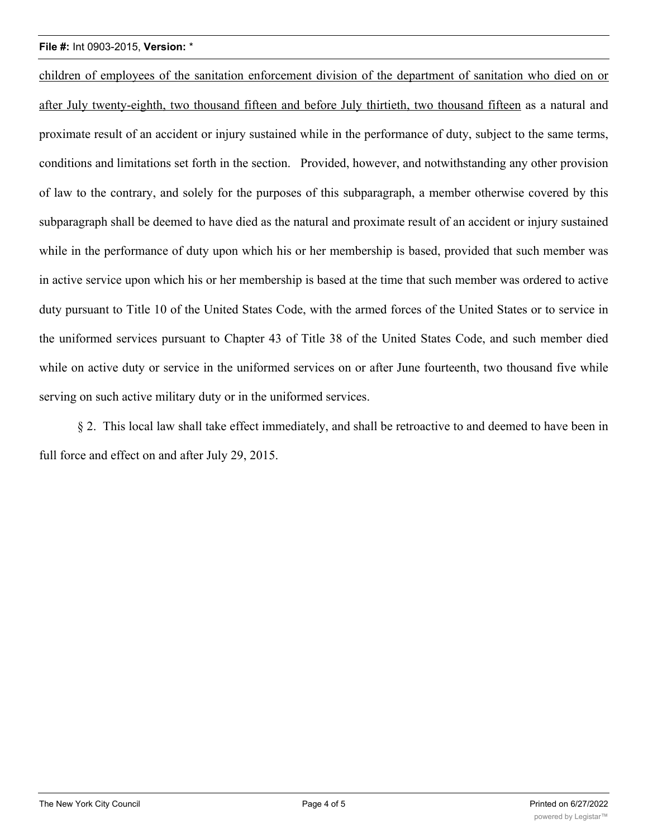## **File #:** Int 0903-2015, **Version:** \*

children of employees of the sanitation enforcement division of the department of sanitation who died on or after July twenty-eighth, two thousand fifteen and before July thirtieth, two thousand fifteen as a natural and proximate result of an accident or injury sustained while in the performance of duty, subject to the same terms, conditions and limitations set forth in the section. Provided, however, and notwithstanding any other provision of law to the contrary, and solely for the purposes of this subparagraph, a member otherwise covered by this subparagraph shall be deemed to have died as the natural and proximate result of an accident or injury sustained while in the performance of duty upon which his or her membership is based, provided that such member was in active service upon which his or her membership is based at the time that such member was ordered to active duty pursuant to Title 10 of the United States Code, with the armed forces of the United States or to service in the uniformed services pursuant to Chapter 43 of Title 38 of the United States Code, and such member died while on active duty or service in the uniformed services on or after June fourteenth, two thousand five while serving on such active military duty or in the uniformed services.

§ 2. This local law shall take effect immediately, and shall be retroactive to and deemed to have been in full force and effect on and after July 29, 2015.